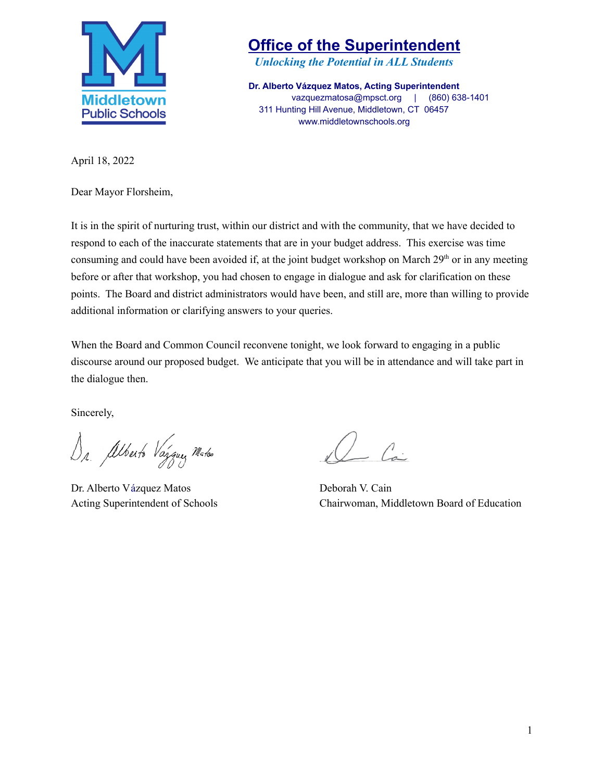

*Unlocking the Potential in ALL Students*

**Dr. Alberto Vázquez Matos, Acting Superintendent** vazquezmatosa@mpsct.org | (860) 638-1401 311 Hunting Hill Avenue, Middletown, CT 06457 www.middletownschools.org

April 18, 2022

Dear Mayor Florsheim,

It is in the spirit of nurturing trust, within our district and with the community, that we have decided to respond to each of the inaccurate statements that are in your budget address. This exercise was time consuming and could have been avoided if, at the joint budget workshop on March 29<sup>th</sup> or in any meeting before or after that workshop, you had chosen to engage in dialogue and ask for clarification on these points. The Board and district administrators would have been, and still are, more than willing to provide additional information or clarifying answers to your queries.

When the Board and Common Council reconvene tonight, we look forward to engaging in a public discourse around our proposed budget. We anticipate that you will be in attendance and will take part in the dialogue then.

Sincerely,

Dr. Alberto Vargue Mater

Dr. Alberto Vázquez Matos Deborah V. Cain

 $\angle$   $\angle$ 

Acting Superintendent of Schools Chairwoman, Middletown Board of Education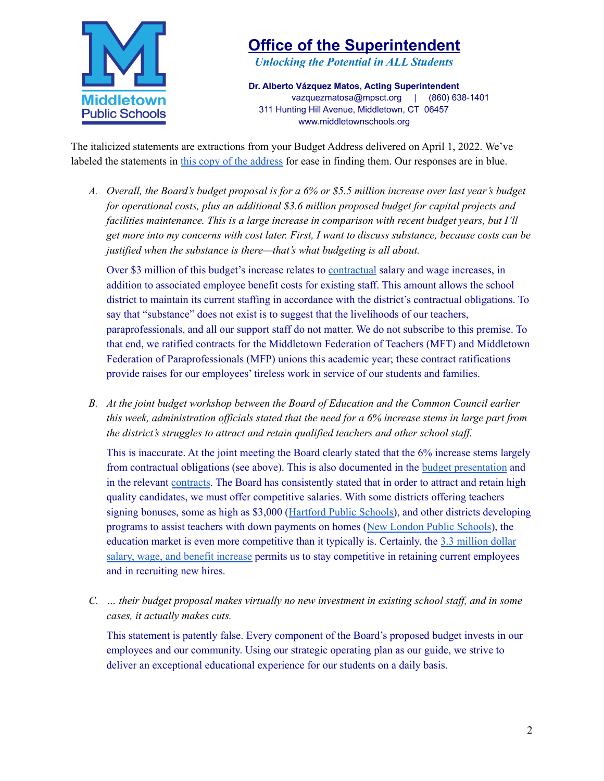

*Unlocking the Potential in ALL Students*

**Dr. Alberto Vázquez Matos, Acting Superintendent** vazquezmatosa@mpsct.org | (860) 638-1401 311 Hunting Hill Avenue, Middletown, CT 06457 www.middletownschools.org

The italicized statements are extractions from your Budget Address delivered on April 1, 2022. We've labeled the statements in this copy of the [address](https://drive.google.com/file/d/1QCPnAlEWq9BOD4AqwyoEQL-THFmTouXk/view?usp=sharing) for ease in finding them. Our responses are in blue.

A. Overall, the Board's budget proposal is for a 6% or \$5.5 million increase over last year's budget *for operational costs, plus an additional \$3.6 million proposed budget for capital projects and facilities maintenance. This is a large increase in comparison with recent budget years, but I'll* get more into my concerns with cost later. First, I want to discuss substance, because costs can be *justified when the substance is there—that's what budgeting is all about.*

Over \$3 million of this budget's increase relates to [contractual](https://www.middletownschools.org/board_of_education/boe_contracts) salary and wage increases, in addition to associated employee benefit costs for existing staff. This amount allows the school district to maintain its current staffing in accordance with the district's contractual obligations. To say that "substance" does not exist is to suggest that the livelihoods of our teachers, paraprofessionals, and all our support staff do not matter. We do not subscribe to this premise. To that end, we ratified contracts for the Middletown Federation of Teachers (MFT) and Middletown Federation of Paraprofessionals (MFP) unions this academic year; these contract ratifications provide raises for our employees' tireless work in service of our students and families.

*B. At the joint budget workshop between the Board of Education and the Common Council earlier* this week, administration officials stated that the need for a 6% increase stems in large part from *the district's struggles to attract and retain qualified teachers and other school staf .*

This is inaccurate. At the joint meeting the Board clearly stated that the 6% increase stems largely from contractual obligations (see above). This is also documented in the budget [presentation](https://docs.google.com/presentation/d/1i_buOBiEfx7Sp3T3jFHG_EXvc3jbuAga_SjHgziExiE/edit#slide=id.g52ce4a139f_0_6) and in the relevant [contracts](https://www.middletownschools.org/board_of_education/boe_contracts). The Board has consistently stated that in order to attract and retain high quality candidates, we must offer competitive salaries. With some districts offering teachers signing bonuses, some as high as \$3,000 ([Hartford](https://www.hartfordschools.org/careers/careers/) Public Schools), and other districts developing programs to assist teachers with down payments on homes (New London Public [Schools](https://www.theday.com/article/20220117/NWS01/220119502)), the education market is even more competitive than it typically is. Certainly, the 3.3 [million](https://docs.google.com/presentation/d/1i_buOBiEfx7Sp3T3jFHG_EXvc3jbuAga_SjHgziExiE/edit#slide=id.g52ce4a139f_0_6) dollar salary, wage, and benefit [increase](https://docs.google.com/presentation/d/1i_buOBiEfx7Sp3T3jFHG_EXvc3jbuAga_SjHgziExiE/edit#slide=id.g52ce4a139f_0_6) permits us to stay competitive in retaining current employees and in recruiting new hires.

*C. … their budget proposal makes virtually no new investment in existing school staf , and in some cases, it actually makes cuts.*

This statement is patently false. Every component of the Board's proposed budget invests in our employees and our community. Using our strategic operating plan as our guide, we strive to deliver an exceptional educational experience for our students on a daily basis.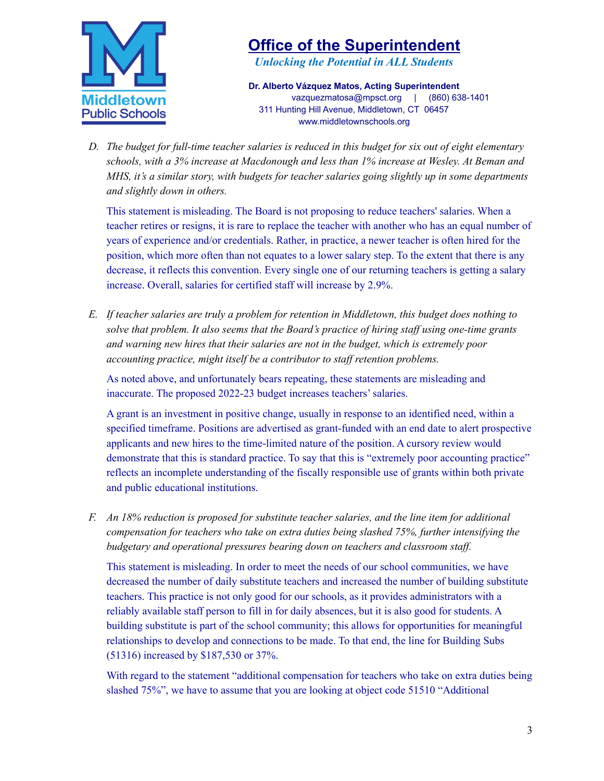

*Unlocking the Potential in ALL Students*

**Dr. Alberto Vázquez Matos, Acting Superintendent** vazquezmatosa@mpsct.org | (860) 638-1401 311 Hunting Hill Avenue, Middletown, CT 06457 www.middletownschools.org

D. The budget for full-time teacher salaries is reduced in this budget for six out of eight elementary *schools, with a 3% increase at Macdonough and less than 1% increase at Wesley. At Beman and MHS, it's a similar story, with budgets for teacher salaries going slightly up in some departments and slightly down in others.*

This statement is misleading. The Board is not proposing to reduce teachers' salaries. When a teacher retires or resigns, it is rare to replace the teacher with another who has an equal number of years of experience and/or credentials. Rather, in practice, a newer teacher is often hired for the position, which more often than not equates to a lower salary step. To the extent that there is any decrease, it reflects this convention. Every single one of our returning teachers is getting a salary increase. Overall, salaries for certified staff will increase by 2.9%.

*E. If teacher salaries are truly a problem for retention in Middletown, this budget does nothing to solve that problem. It also seems that the Board's practice of hiring staf using one-time grants and warning new hires that their salaries are not in the budget, which is extremely poor accounting practice, might itself be a contributor to staf retention problems.*

As noted above, and unfortunately bears repeating, these statements are misleading and inaccurate. The proposed 2022-23 budget increases teachers'salaries.

A grant is an investment in positive change, usually in response to an identified need, within a specified timeframe. Positions are advertised as grant-funded with an end date to alert prospective applicants and new hires to the time-limited nature of the position. A cursory review would demonstrate that this is standard practice. To say that this is "extremely poor accounting practice" reflects an incomplete understanding of the fiscally responsible use of grants within both private and public educational institutions.

*F. An 18% reduction is proposed for substitute teacher salaries, and the line item for additional compensation for teachers who take on extra duties being slashed 75%, further intensifying the budgetary and operational pressures bearing down on teachers and classroom staf .*

This statement is misleading. In order to meet the needs of our school communities, we have decreased the number of daily substitute teachers and increased the number of building substitute teachers. This practice is not only good for our schools, as it provides administrators with a reliably available staff person to fill in for daily absences, but it is also good for students. A building substitute is part of the school community; this allows for opportunities for meaningful relationships to develop and connections to be made. To that end, the line for Building Subs (51316) increased by \$187,530 or 37%.

With regard to the statement "additional compensation for teachers who take on extra duties being slashed 75%", we have to assume that you are looking at object code 51510 "Additional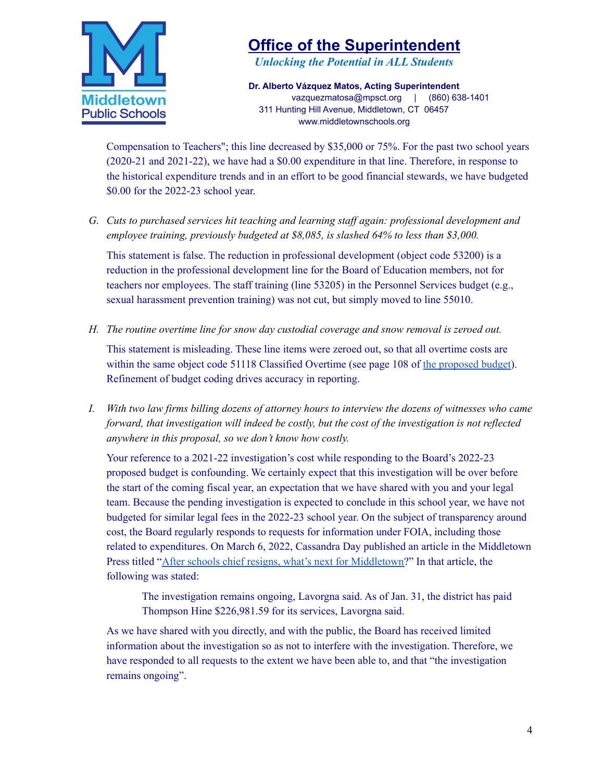

*Unlocking the Potential in ALL Students*

**Dr. Alberto Vázquez Matos, Acting Superintendent** vazquezmatosa@mpsct.org | (860) 638-1401 311 Hunting Hill Avenue, Middletown, CT 06457 www.middletownschools.org

Compensation to Teachers"; this line decreased by \$35,000 or 75%. For the past two school years (2020-21 and 2021-22), we have had a \$0.00 expenditure in that line. Therefore, in response to the historical expenditure trends and in an effort to be good financial stewards, we have budgeted \$0.00 for the 2022-23 school year.

*G. Cuts to purchased services hit teaching and learning staf again: professional development and employee training, previously budgeted at \$8,085, is slashed 64% to less than \$3,000.*

This statement is false. The reduction in professional development (object code 53200) is a reduction in the professional development line for the Board of Education members, not for teachers nor employees. The staff training (line 53205) in the Personnel Services budget (e.g., sexual harassment prevention training) was not cut, but simply moved to line 55010.

*H. The routine overtime line for snow day custodial coverage and snow removal is zeroed out.*

This statement is misleading. These line items were zeroed out, so that all overtime costs are within the same object code 51118 Classified Overtime (see page 108 of the [proposed](https://p16cdn4static.sharpschool.com/UserFiles/Servers/Server_93655/File/Final%20MPS%2022-23%20Budget%20Book.pdf) budget). Refinement of budget coding drives accuracy in reporting.

I. With two law firms billing dozens of attorney hours to interview the dozens of witnesses who came *forward, that investigation will indeed be costly, but the cost of the investigation is not reflected anywhere in this proposal, so we don't know how costly.*

Your reference to a 2021-22 investigation's cost while responding to the Board's 2022-23 proposed budget is confounding. We certainly expect that this investigation will be over before the start of the coming fiscal year, an expectation that we have shared with you and your legal team. Because the pending investigation is expected to conclude in this school year, we have not budgeted for similar legal fees in the 2022-23 school year. On the subject of transparency around cost, the Board regularly responds to requests for information under FOIA, including those related to expenditures. On March 6, 2022, Cassandra Day published an article in the Middletown Press titled "After schools chief resigns, what's next for [Middletown?](https://www.middletownpress.com/middletown/article/After-schools-chief-resigns-what-s-next-for-16990015.php)" In that article, the following was stated:

The investigation remains ongoing, Lavorgna said. As of Jan. 31, the district has paid Thompson Hine \$226,981.59 for its services, Lavorgna said.

As we have shared with you directly, and with the public, the Board has received limited information about the investigation so as not to interfere with the investigation. Therefore, we have responded to all requests to the extent we have been able to, and that "the investigation remains ongoing".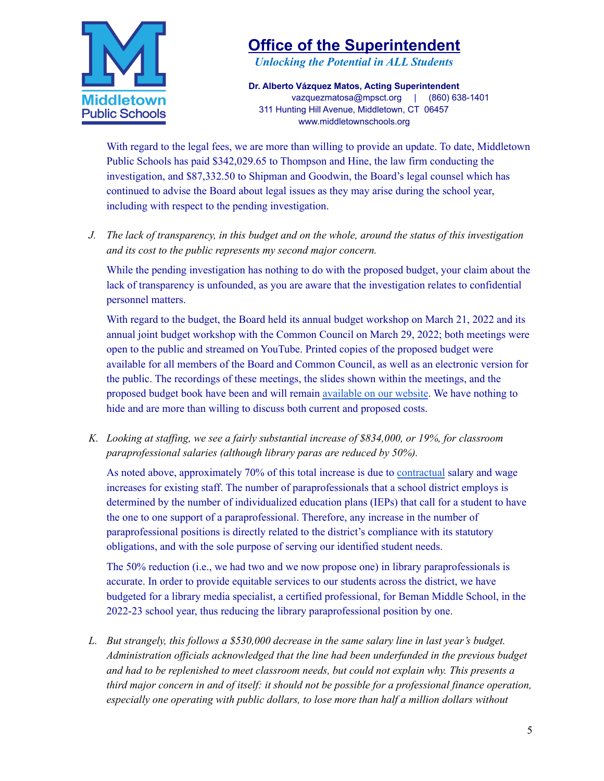

*Unlocking the Potential in ALL Students*

**Dr. Alberto Vázquez Matos, Acting Superintendent** vazquezmatosa@mpsct.org | (860) 638-1401 311 Hunting Hill Avenue, Middletown, CT 06457 www.middletownschools.org

With regard to the legal fees, we are more than willing to provide an update. To date, Middletown Public Schools has paid \$342,029.65 to Thompson and Hine, the law firm conducting the investigation, and \$87,332.50 to Shipman and Goodwin, the Board's legal counsel which has continued to advise the Board about legal issues as they may arise during the school year, including with respect to the pending investigation.

J. The lack of transparency, in this budget and on the whole, around the status of this investigation *and its cost to the public represents my second major concern.*

While the pending investigation has nothing to do with the proposed budget, your claim about the lack of transparency is unfounded, as you are aware that the investigation relates to confidential personnel matters.

With regard to the budget, the Board held its annual budget workshop on March 21, 2022 and its annual joint budget workshop with the Common Council on March 29, 2022; both meetings were open to the public and streamed on YouTube. Printed copies of the proposed budget were available for all members of the Board and Common Council, as well as an electronic version for the public. The recordings of these meetings, the slides shown within the meetings, and the proposed budget book have been and will remain [available](https://www.middletownschools.org/board_of_education/budget) on our website. We have nothing to hide and are more than willing to discuss both current and proposed costs.

*K. Looking at staf ing, we see a fairly substantial increase of \$834,000, or 19%, for classroom paraprofessional salaries (although library paras are reduced by 50%).*

As noted above, approximately 70% of this total increase is due to [contractual](https://www.middletownschools.org/board_of_education/boe_contracts) salary and wage increases for existing staff. The number of paraprofessionals that a school district employs is determined by the number of individualized education plans (IEPs) that call for a student to have the one to one support of a paraprofessional. Therefore, any increase in the number of paraprofessional positions is directly related to the district's compliance with its statutory obligations, and with the sole purpose of serving our identified student needs.

The 50% reduction (i.e., we had two and we now propose one) in library paraprofessionals is accurate. In order to provide equitable services to our students across the district, we have budgeted for a library media specialist, a certified professional, for Beman Middle School, in the 2022-23 school year, thus reducing the library paraprofessional position by one.

*L. But strangely, this follows a \$530,000 decrease in the same salary line in last year's budget. Administration of icials acknowledged that the line had been underfunded in the previous budget and had to be replenished to meet classroom needs, but could not explain why. This presents a third major concern in and of itself: it should not be possible for a professional finance operation, especially one operating with public dollars, to lose more than half a million dollars without*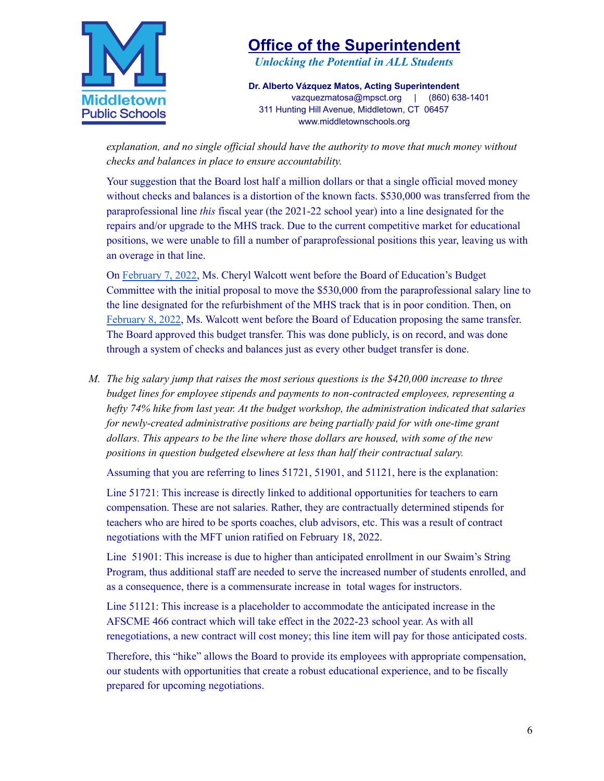

*Unlocking the Potential in ALL Students*

**Dr. Alberto Vázquez Matos, Acting Superintendent** vazquezmatosa@mpsct.org | (860) 638-1401 311 Hunting Hill Avenue, Middletown, CT 06457 www.middletownschools.org

*explanation, and no single of icial should have the authority to move that much money without checks and balances in place to ensure accountability.*

Your suggestion that the Board lost half a million dollars or that a single official moved money without checks and balances is a distortion of the known facts. \$530,000 was transferred from the paraprofessional line *this* fiscal year (the 2021-22 school year) into a line designated for the repairs and/or upgrade to the MHS track. Due to the current competitive market for educational positions, we were unable to fill a number of paraprofessional positions this year, leaving us with an overage in that line.

On [February](https://youtu.be/-vgsMJTbYzg?t=1936) 7, 2022, Ms. Cheryl Walcott went before the Board of Education's Budget Committee with the initial proposal to move the \$530,000 from the paraprofessional salary line to the line designated for the refurbishment of the MHS track that is in poor condition. Then, on [February](https://youtu.be/08rhSIPqrY4?t=2420) 8, 2022, Ms. Walcott went before the Board of Education proposing the same transfer. The Board approved this budget transfer. This was done publicly, is on record, and was done through a system of checks and balances just as every other budget transfer is done.

*M. The big salary jump that raises the most serious questions is the \$420,000 increase to three budget lines for employee stipends and payments to non-contracted employees, representing a hefty 74% hike from last year. At the budget workshop, the administration indicated that salaries for newly-created administrative positions are being partially paid for with one-time grant dollars. This appears to be the line where those dollars are housed, with some of the new positions in question budgeted elsewhere at less than half their contractual salary.*

Assuming that you are referring to lines 51721, 51901, and 51121, here is the explanation:

Line 51721: This increase is directly linked to additional opportunities for teachers to earn compensation. These are not salaries. Rather, they are contractually determined stipends for teachers who are hired to be sports coaches, club advisors, etc. This was a result of contract negotiations with the MFT union ratified on February 18, 2022.

Line 51901: This increase is due to higher than anticipated enrollment in our Swaim's String Program, thus additional staff are needed to serve the increased number of students enrolled, and as a consequence, there is a commensurate increase in total wages for instructors.

Line 51121: This increase is a placeholder to accommodate the anticipated increase in the AFSCME 466 contract which will take effect in the 2022-23 school year. As with all renegotiations, a new contract will cost money; this line item will pay for those anticipated costs.

Therefore, this "hike" allows the Board to provide its employees with appropriate compensation, our students with opportunities that create a robust educational experience, and to be fiscally prepared for upcoming negotiations.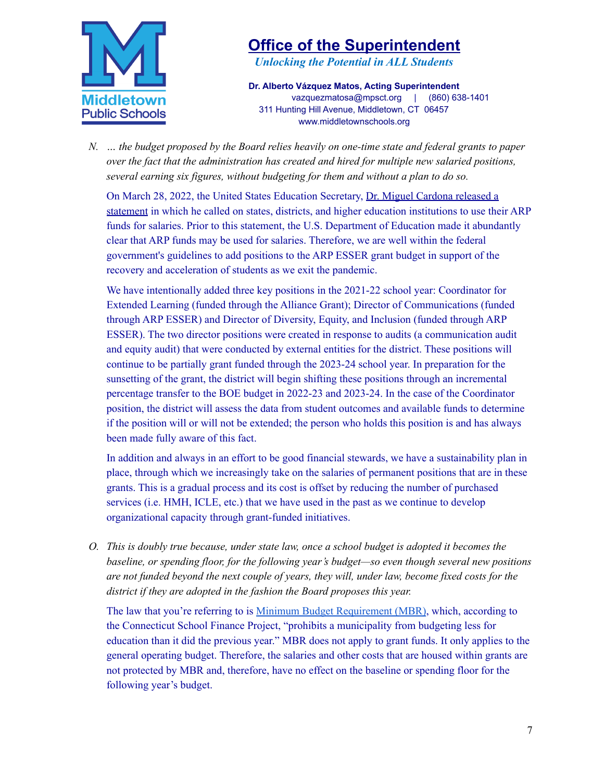

*Unlocking the Potential in ALL Students*

**Dr. Alberto Vázquez Matos, Acting Superintendent** vazquezmatosa@mpsct.org | (860) 638-1401 311 Hunting Hill Avenue, Middletown, CT 06457 www.middletownschools.org

*N. … the budget proposed by the Board relies heavily on one-time state and federal grants to paper over the fact that the administration has created and hired for multiple new salaried positions, several earning six figures, without budgeting for them and without a plan to do so.*

On March 28, 2022, the United States Education Secretary, Dr. Miguel [Cardona](https://www.ed.gov/news/press-releases/us-education-secretary-miguel-cardona-calls-states-districts-higher-ed-institutions-address-nationwide-teacher-shortage-and-bolster-student-recovery-american-rescue-plan-funds) released a [statement](https://www.ed.gov/news/press-releases/us-education-secretary-miguel-cardona-calls-states-districts-higher-ed-institutions-address-nationwide-teacher-shortage-and-bolster-student-recovery-american-rescue-plan-funds) in which he called on states, districts, and higher education institutions to use their ARP funds for salaries. Prior to this statement, the U.S. Department of Education made it abundantly clear that ARP funds may be used for salaries. Therefore, we are well within the federal government's guidelines to add positions to the ARP ESSER grant budget in support of the recovery and acceleration of students as we exit the pandemic.

We have intentionally added three key positions in the 2021-22 school year: Coordinator for Extended Learning (funded through the Alliance Grant); Director of Communications (funded through ARP ESSER) and Director of Diversity, Equity, and Inclusion (funded through ARP ESSER). The two director positions were created in response to audits (a communication audit and equity audit) that were conducted by external entities for the district. These positions will continue to be partially grant funded through the 2023-24 school year. In preparation for the sunsetting of the grant, the district will begin shifting these positions through an incremental percentage transfer to the BOE budget in 2022-23 and 2023-24. In the case of the Coordinator position, the district will assess the data from student outcomes and available funds to determine if the position will or will not be extended; the person who holds this position is and has always been made fully aware of this fact.

In addition and always in an effort to be good financial stewards, we have a sustainability plan in place, through which we increasingly take on the salaries of permanent positions that are in these grants. This is a gradual process and its cost is offset by reducing the number of purchased services (i.e. HMH, ICLE, etc.) that we have used in the past as we continue to develop organizational capacity through grant-funded initiatives.

*O. This is doubly true because, under state law, once a school budget is adopted it becomes the baseline, or spending floor, for the following year's budget—so even though several new positions are not funded beyond the next couple of years, they will, under law, become fixed costs for the district if they are adopted in the fashion the Board proposes this year.*

The law that you're referring to is Minimum Budget [Requirement](https://ctschoolfinance.org/resource-assets/Minimum-Budget-Requirement.pdf) (MBR), which, according to the Connecticut School Finance Project, "prohibits a municipality from budgeting less for education than it did the previous year." MBR does not apply to grant funds. It only applies to the general operating budget. Therefore, the salaries and other costs that are housed within grants are not protected by MBR and, therefore, have no effect on the baseline or spending floor for the following year's budget.